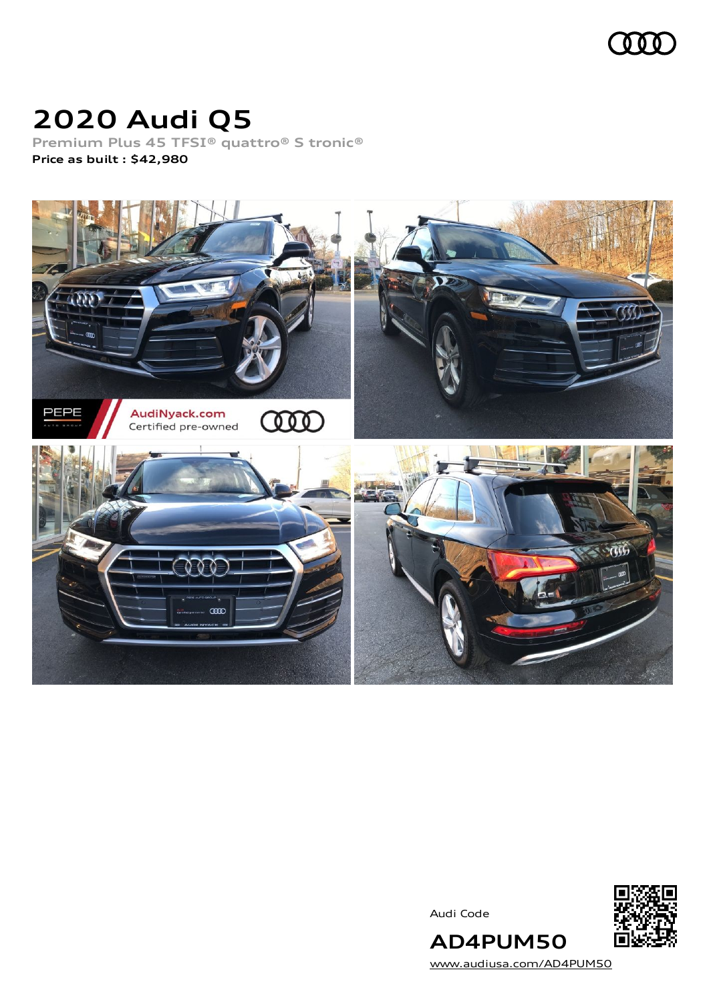

# **2020 Audi Q5**

**Premium Plus 45 TFSI® quattro® S tronic® Price as built [:](#page-8-0) \$42,980**



Audi Code



**AD4PUM50** [www.audiusa.com/AD4PUM50](https://www.audiusa.com/AD4PUM50)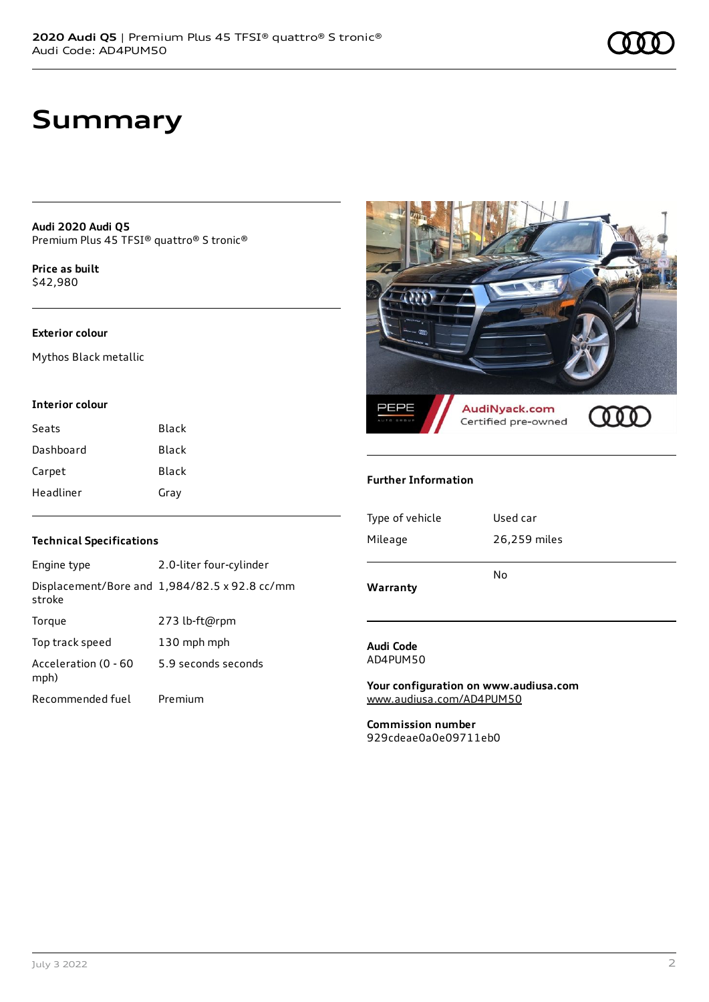## **Summary**

**Audi 2020 Audi Q5** Premium Plus 45 TFSI® quattro® S tronic®

**Price as buil[t](#page-8-0)** \$42,980

### **Exterior colour**

Mythos Black metallic

### **Interior colour**

| Seats     | Black |
|-----------|-------|
| Dashboard | Black |
| Carpet    | Black |
| Headliner | Gray  |

### **Technical Specifications**

| Engine type                  | 2.0-liter four-cylinder                              |
|------------------------------|------------------------------------------------------|
| stroke                       | Displacement/Bore and $1,984/82.5 \times 92.8$ cc/mm |
| Torque                       | 273 lb-ft@rpm                                        |
| Top track speed              | 130 mph mph                                          |
| Acceleration (0 - 60<br>mph) | 5.9 seconds seconds                                  |
| Recommended fuel             | Premium                                              |



#### **Further Information**

| Warranty        |              |
|-----------------|--------------|
|                 | No           |
| Mileage         | 26,259 miles |
| Type of vehicle | Used car     |
|                 |              |

#### **Audi Code** AD4PUM50

**Your configuration on www.audiusa.com** [www.audiusa.com/AD4PUM50](https://www.audiusa.com/AD4PUM50)

**Commission number** 929cdeae0a0e09711eb0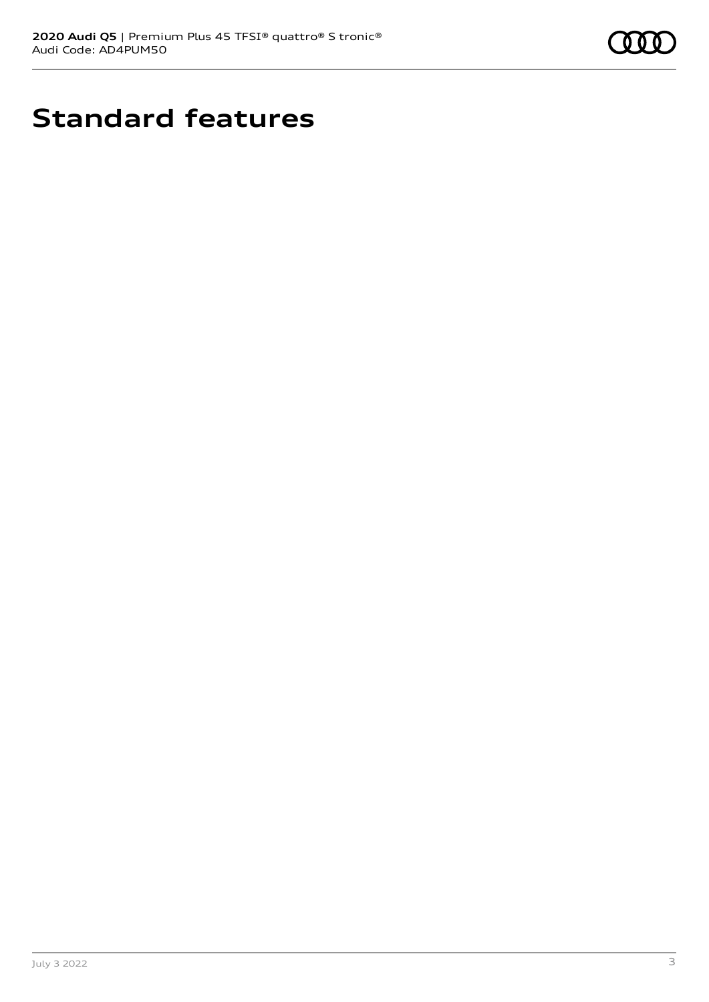

# **Standard features**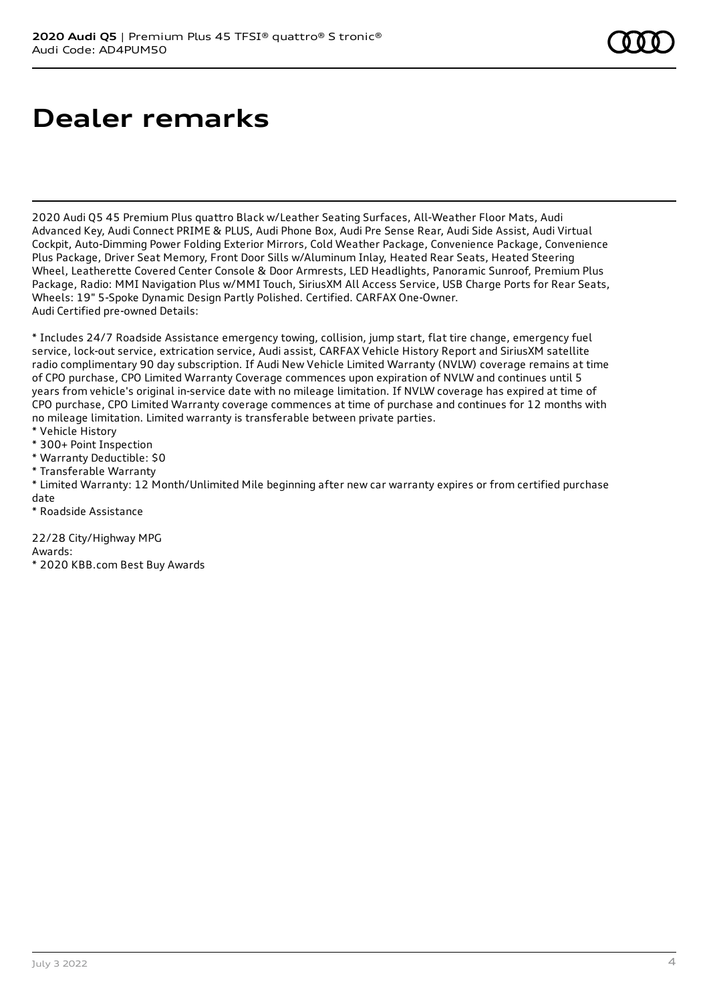# **Dealer remarks**

2020 Audi Q5 45 Premium Plus quattro Black w/Leather Seating Surfaces, All-Weather Floor Mats, Audi Advanced Key, Audi Connect PRIME & PLUS, Audi Phone Box, Audi Pre Sense Rear, Audi Side Assist, Audi Virtual Cockpit, Auto-Dimming Power Folding Exterior Mirrors, Cold Weather Package, Convenience Package, Convenience Plus Package, Driver Seat Memory, Front Door Sills w/Aluminum Inlay, Heated Rear Seats, Heated Steering Wheel, Leatherette Covered Center Console & Door Armrests, LED Headlights, Panoramic Sunroof, Premium Plus Package, Radio: MMI Navigation Plus w/MMI Touch, SiriusXM All Access Service, USB Charge Ports for Rear Seats, Wheels: 19" 5-Spoke Dynamic Design Partly Polished. Certified. CARFAX One-Owner. Audi Certified pre-owned Details:

\* Includes 24/7 Roadside Assistance emergency towing, collision, jump start, flat tire change, emergency fuel service, lock-out service, extrication service, Audi assist, CARFAX Vehicle History Report and SiriusXM satellite radio complimentary 90 day subscription. If Audi New Vehicle Limited Warranty (NVLW) coverage remains at time of CPO purchase, CPO Limited Warranty Coverage commences upon expiration of NVLW and continues until 5 years from vehicle's original in-service date with no mileage limitation. If NVLW coverage has expired at time of CPO purchase, CPO Limited Warranty coverage commences at time of purchase and continues for 12 months with no mileage limitation. Limited warranty is transferable between private parties.

- \* Vehicle History
- \* 300+ Point Inspection
- \* Warranty Deductible: \$0
- \* Transferable Warranty

\* Limited Warranty: 12 Month/Unlimited Mile beginning after new car warranty expires or from certified purchase date

\* Roadside Assistance

22/28 City/Highway MPG Awards:

\* 2020 KBB.com Best Buy Awards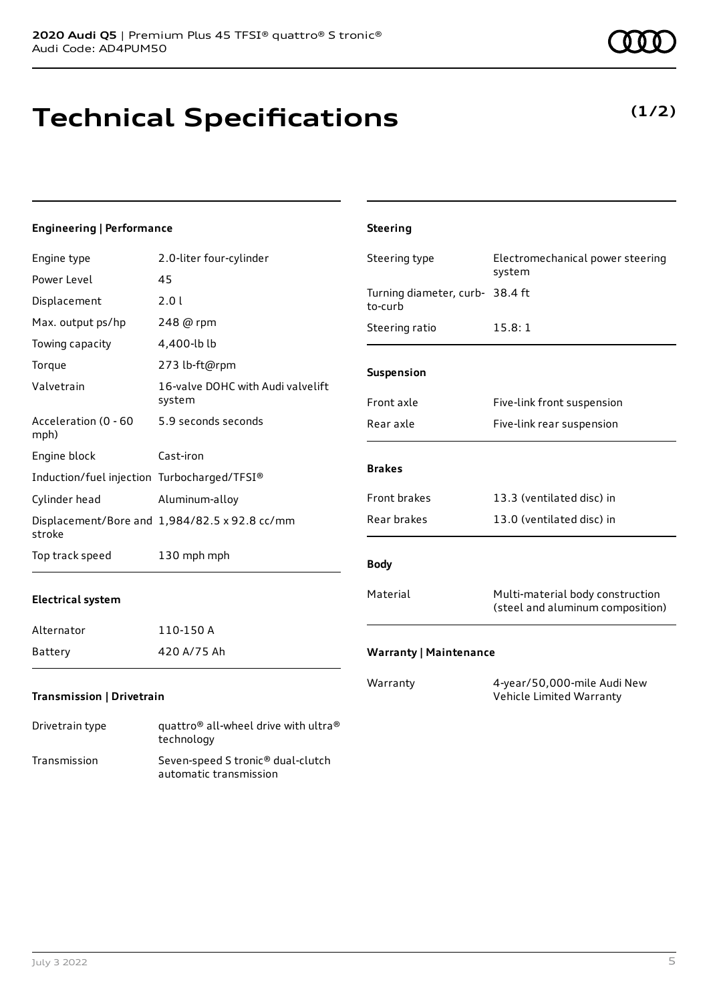# **Technical Specifications**

### **Engineering | Performance**

| Engine type                                 | 2.0-liter four-cylinder                            | Steering type                              | Electromechanical power steering                                     |
|---------------------------------------------|----------------------------------------------------|--------------------------------------------|----------------------------------------------------------------------|
| Power Level                                 | 45                                                 |                                            | system                                                               |
| Displacement                                | 2.0 l                                              | Turning diameter, curb- 38.4 ft<br>to-curb |                                                                      |
| Max. output ps/hp                           | 248 @ rpm                                          | Steering ratio                             | 15.8:1                                                               |
| Towing capacity                             | 4,400-lb lb                                        |                                            |                                                                      |
| Torque                                      | 273 lb-ft@rpm                                      | Suspension                                 |                                                                      |
| Valvetrain                                  | 16-valve DOHC with Audi valvelift<br>system        | Front axle                                 | Five-link front suspension                                           |
| Acceleration (0 - 60<br>mph)                | 5.9 seconds seconds                                | Rear axle                                  | Five-link rear suspension                                            |
| Engine block                                | Cast-iron                                          |                                            |                                                                      |
| Induction/fuel injection Turbocharged/TFSI® |                                                    | <b>Brakes</b>                              |                                                                      |
| Cylinder head                               | Aluminum-alloy                                     | Front brakes                               | 13.3 (ventilated disc) in                                            |
| stroke                                      | Displacement/Bore and 1,984/82.5 x 92.8 cc/mm      | Rear brakes                                | 13.0 (ventilated disc) in                                            |
| Top track speed                             | 130 mph mph                                        | <b>Body</b>                                |                                                                      |
| <b>Electrical system</b>                    |                                                    | Material                                   | Multi-material body construction<br>(steel and aluminum composition) |
| Alternator                                  | 110-150 A                                          |                                            |                                                                      |
| Battery                                     | 420 A/75 Ah                                        | <b>Warranty   Maintenance</b>              |                                                                      |
| Transmission   Drivetrain                   |                                                    | Warranty                                   | 4-year/50,000-mile Audi New<br>Vehicle Limited Warranty              |
| Drivetrain type                             | quattro® all-wheel drive with ultra®<br>technology |                                            |                                                                      |

**Steering**

Transmission Seven-speed S tronic® dual-clutch

automatic transmission

### **(1/2)**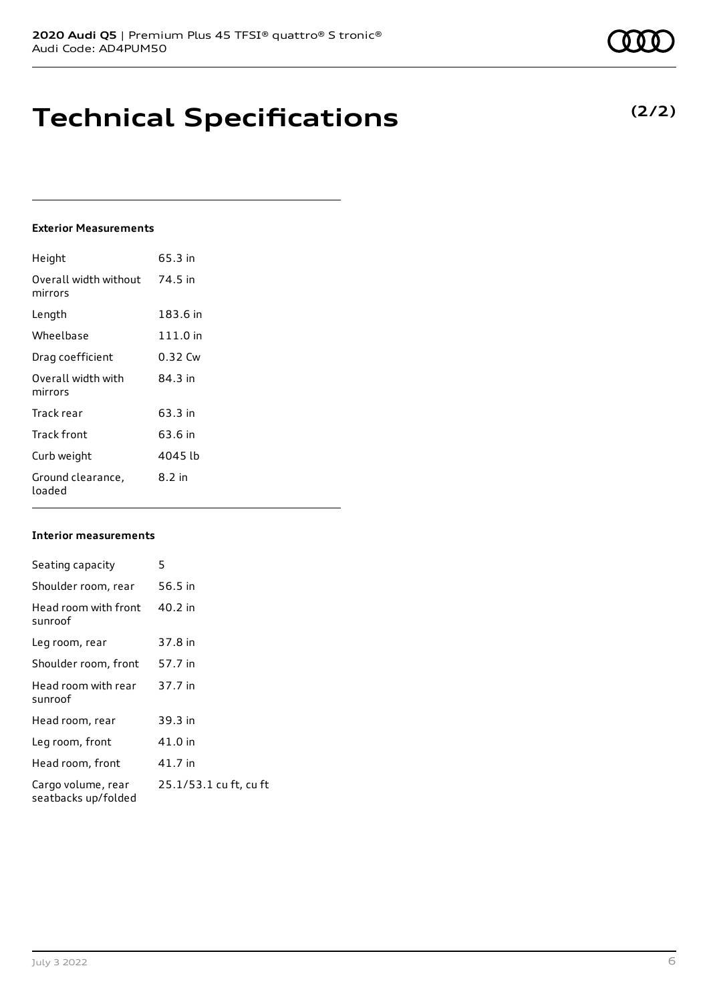# **Technical Specifications**

### **Exterior Measurements**

| Height                           | 65.3 in    |
|----------------------------------|------------|
| Overall width without<br>mirrors | 74.5 in    |
| Length                           | 183.6 in   |
| Wheelbase                        | $111.0$ in |
| Drag coefficient                 | 0.32 Cw    |
| Overall width with<br>mirrors    | 84 3 in    |
| Track rear                       | 63.3 in    |
| Track front                      | 63.6 in    |
| Curb weight                      | 4045 lb    |
| Ground clearance,<br>loaded      | 8.2 in     |

### **Interior measurements**

| Seating capacity                          | 5                      |
|-------------------------------------------|------------------------|
| Shoulder room, rear                       | 56.5 in                |
| Head room with front<br>sunroof           | 40.2 in                |
| Leg room, rear                            | 37.8 in                |
| Shoulder room, front                      | 57.7 in                |
| Head room with rear<br>sunroof            | 37.7 in                |
| Head room, rear                           | 39.3 in                |
| Leg room, front                           | 41.0 in                |
| Head room, front                          | 41.7 in                |
| Cargo volume, rear<br>seatbacks up/folded | 25.1/53.1 cu ft, cu ft |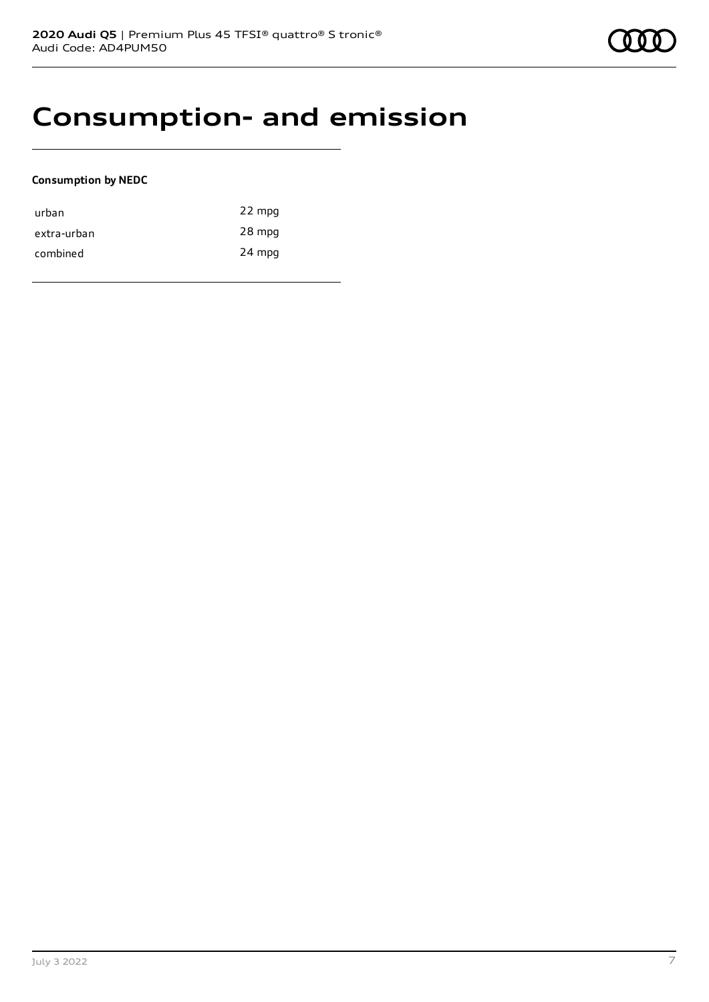### **Consumption- and emission**

### **Consumption by NEDC**

| urban       | 22 mpg |
|-------------|--------|
| extra-urban | 28 mpg |
| combined    | 24 mpg |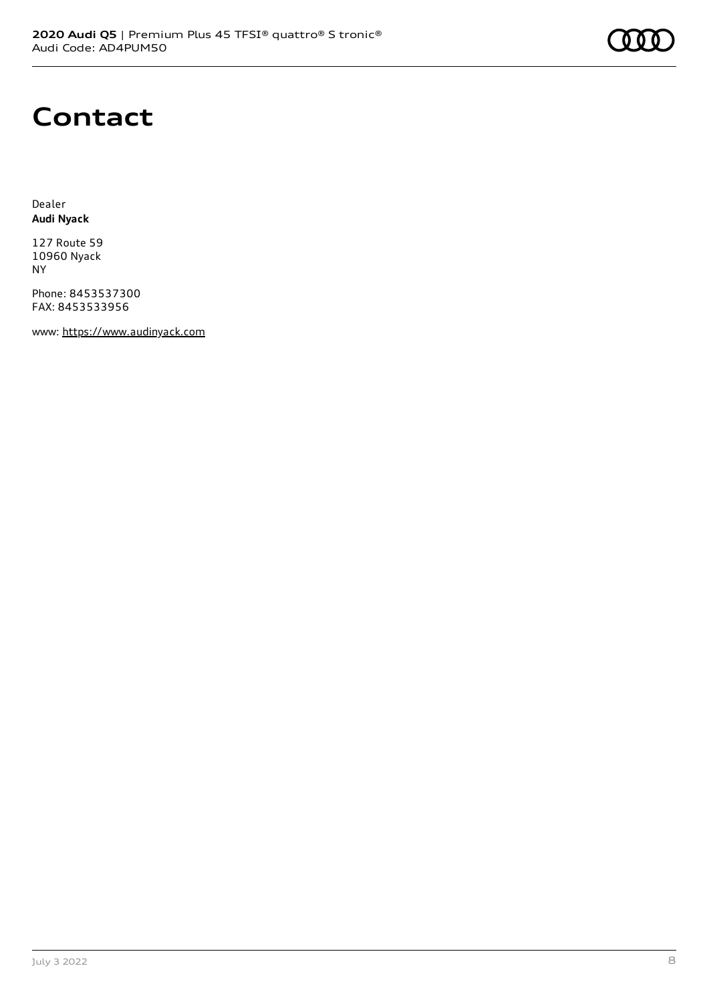## **Contact**

Dealer **Audi Nyack**

127 Route 59 10960 Nyack NY

Phone: 8453537300 FAX: 8453533956

www: [https://www.audinyack.com](https://www.audinyack.com/)